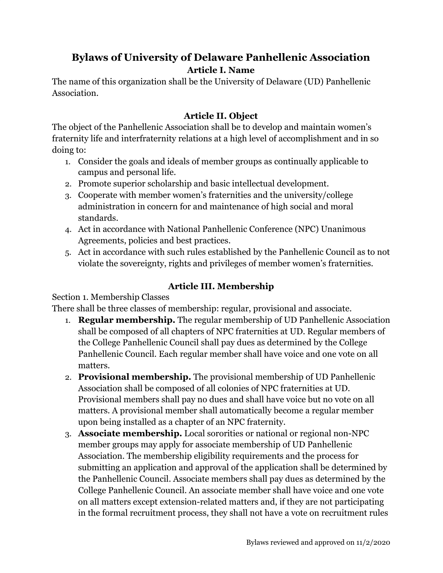# **Bylaws of University of Delaware Panhellenic Association**

**Article I. Name**

The name of this organization shall be the University of Delaware (UD) Panhellenic Association.

# **Article II. Object**

The object of the Panhellenic Association shall be to develop and maintain women's fraternity life and interfraternity relations at a high level of accomplishment and in so doing to:

- 1. Consider the goals and ideals of member groups as continually applicable to campus and personal life.
- 2. Promote superior scholarship and basic intellectual development.
- 3. Cooperate with member women's fraternities and the university/college administration in concern for and maintenance of high social and moral standards.
- 4. Act in accordance with National Panhellenic Conference (NPC) Unanimous Agreements, policies and best practices.
- 5. Act in accordance with such rules established by the Panhellenic Council as to not violate the sovereignty, rights and privileges of member women's fraternities.

# **Article III. Membership**

Section 1. Membership Classes

There shall be three classes of membership: regular, provisional and associate.

- 1. **Regular membership.** The regular membership of UD Panhellenic Association shall be composed of all chapters of NPC fraternities at UD. Regular members of the College Panhellenic Council shall pay dues as determined by the College Panhellenic Council. Each regular member shall have voice and one vote on all matters.
- 2. **Provisional membership.** The provisional membership of UD Panhellenic Association shall be composed of all colonies of NPC fraternities at UD. Provisional members shall pay no dues and shall have voice but no vote on all matters. A provisional member shall automatically become a regular member upon being installed as a chapter of an NPC fraternity.
- 3. **Associate membership.** Local sororities or national or regional non-NPC member groups may apply for associate membership of UD Panhellenic Association. The membership eligibility requirements and the process for submitting an application and approval of the application shall be determined by the Panhellenic Council. Associate members shall pay dues as determined by the College Panhellenic Council. An associate member shall have voice and one vote on all matters except extension-related matters and, if they are not participating in the formal recruitment process, they shall not have a vote on recruitment rules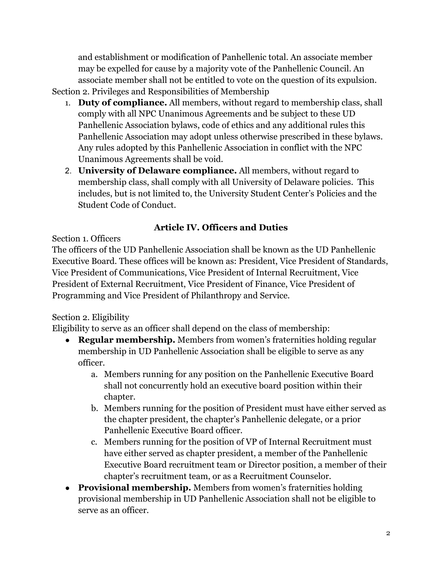and establishment or modification of Panhellenic total. An associate member may be expelled for cause by a majority vote of the Panhellenic Council. An associate member shall not be entitled to vote on the question of its expulsion.

Section 2. Privileges and Responsibilities of Membership

- 1. **Duty of compliance.** All members, without regard to membership class, shall comply with all NPC Unanimous Agreements and be subject to these UD Panhellenic Association bylaws, code of ethics and any additional rules this Panhellenic Association may adopt unless otherwise prescribed in these bylaws. Any rules adopted by this Panhellenic Association in conflict with the NPC Unanimous Agreements shall be void.
- 2. **University of Delaware compliance.** All members, without regard to membership class, shall comply with all University of Delaware policies. This includes, but is not limited to, the University Student Center's Policies and the Student Code of Conduct.

## **Article IV. Officers and Duties**

## Section 1. Officers

The officers of the UD Panhellenic Association shall be known as the UD Panhellenic Executive Board. These offices will be known as: President, Vice President of Standards, Vice President of Communications, Vice President of Internal Recruitment, Vice President of External Recruitment, Vice President of Finance, Vice President of Programming and Vice President of Philanthropy and Service.

# Section 2. Eligibility

Eligibility to serve as an officer shall depend on the class of membership:

- **Regular membership.** Members from women's fraternities holding regular membership in UD Panhellenic Association shall be eligible to serve as any officer.
	- a. Members running for any position on the Panhellenic Executive Board shall not concurrently hold an executive board position within their chapter.
	- b. Members running for the position of President must have either served as the chapter president, the chapter's Panhellenic delegate, or a prior Panhellenic Executive Board officer.
	- c. Members running for the position of VP of Internal Recruitment must have either served as chapter president, a member of the Panhellenic Executive Board recruitment team or Director position, a member of their chapter's recruitment team, or as a Recruitment Counselor.
- **Provisional membership.** Members from women's fraternities holding provisional membership in UD Panhellenic Association shall not be eligible to serve as an officer.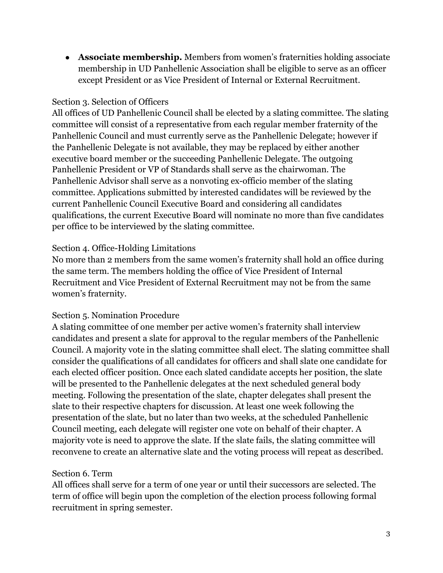● **Associate membership.** Members from women's fraternities holding associate membership in UD Panhellenic Association shall be eligible to serve as an officer except President or as Vice President of Internal or External Recruitment.

### Section 3. Selection of Officers

All offices of UD Panhellenic Council shall be elected by a slating committee. The slating committee will consist of a representative from each regular member fraternity of the Panhellenic Council and must currently serve as the Panhellenic Delegate; however if the Panhellenic Delegate is not available, they may be replaced by either another executive board member or the succeeding Panhellenic Delegate. The outgoing Panhellenic President or VP of Standards shall serve as the chairwoman. The Panhellenic Advisor shall serve as a nonvoting ex-officio member of the slating committee. Applications submitted by interested candidates will be reviewed by the current Panhellenic Council Executive Board and considering all candidates qualifications, the current Executive Board will nominate no more than five candidates per office to be interviewed by the slating committee.

### Section 4. Office-Holding Limitations

No more than 2 members from the same women's fraternity shall hold an office during the same term. The members holding the office of Vice President of Internal Recruitment and Vice President of External Recruitment may not be from the same women's fraternity.

### Section 5. Nomination Procedure

A slating committee of one member per active women's fraternity shall interview candidates and present a slate for approval to the regular members of the Panhellenic Council. A majority vote in the slating committee shall elect. The slating committee shall consider the qualifications of all candidates for officers and shall slate one candidate for each elected officer position. Once each slated candidate accepts her position, the slate will be presented to the Panhellenic delegates at the next scheduled general body meeting. Following the presentation of the slate, chapter delegates shall present the slate to their respective chapters for discussion. At least one week following the presentation of the slate, but no later than two weeks, at the scheduled Panhellenic Council meeting, each delegate will register one vote on behalf of their chapter. A majority vote is need to approve the slate. If the slate fails, the slating committee will reconvene to create an alternative slate and the voting process will repeat as described.

### Section 6. Term

All offices shall serve for a term of one year or until their successors are selected. The term of office will begin upon the completion of the election process following formal recruitment in spring semester.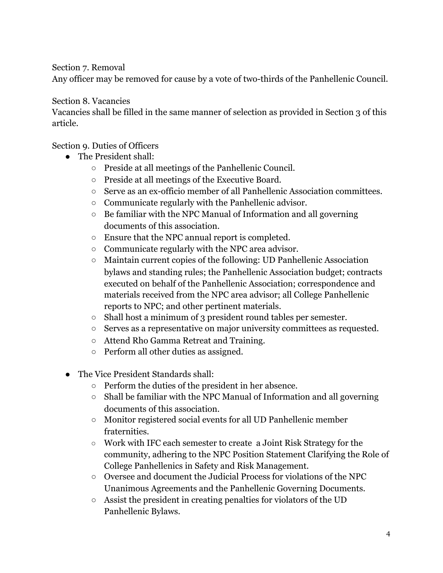Section 7. Removal

Any officer may be removed for cause by a vote of two-thirds of the Panhellenic Council.

### Section 8. Vacancies

Vacancies shall be filled in the same manner of selection as provided in Section 3 of this article.

### Section 9. Duties of Officers

- The President shall:
	- Preside at all meetings of the Panhellenic Council.
	- Preside at all meetings of the Executive Board*.*
	- Serve as an ex-officio member of all Panhellenic Association committees.
	- Communicate regularly with the Panhellenic advisor.
	- $\circ$  Be familiar with the NPC Manual of Information and all governing documents of this association.
	- Ensure that the NPC annual report is completed.
	- Communicate regularly with the NPC area advisor.
	- Maintain current copies of the following: UD Panhellenic Association bylaws and standing rules; the Panhellenic Association budget; contracts executed on behalf of the Panhellenic Association; correspondence and materials received from the NPC area advisor; all College Panhellenic reports to NPC; and other pertinent materials.
	- Shall host a minimum of 3 president round tables per semester.
	- Serves as a representative on major university committees as requested.
	- Attend Rho Gamma Retreat and Training.
	- Perform all other duties as assigned.
- The Vice President Standards shall:
	- Perform the duties of the president in her absence.
	- Shall be familiar with the NPC Manual of Information and all governing documents of this association.
	- Monitor registered social events for all UD Panhellenic member fraternities.
	- Work with IFC each semester to create a Joint Risk Strategy for the community, adhering to the NPC Position Statement Clarifying the Role of College Panhellenics in Safety and Risk Management.
	- Oversee and document the Judicial Process for violations of the NPC Unanimous Agreements and the Panhellenic Governing Documents.
	- Assist the president in creating penalties for violators of the UD Panhellenic Bylaws.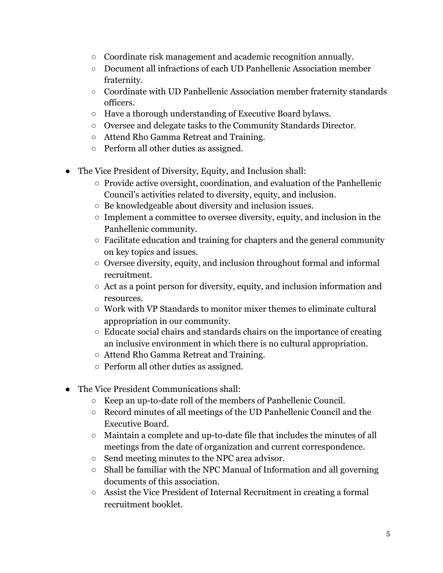- Coordinate risk management and academic recognition annually.
- Document all infractions of each UD Panhellenic Association member fraternity.
- Coordinate with UD Panhellenic Association member fraternity standards officers.
- Have a thorough understanding of Executive Board bylaws.
- Oversee and delegate tasks to the Community Standards Director.
- Attend Rho Gamma Retreat and Training.
- Perform all other duties as assigned.
- The Vice President of Diversity, Equity, and Inclusion shall:
	- Provide active oversight, coordination, and evaluation of the Panhellenic Council's activities related to diversity, equity, and inclusion.
	- Be knowledgeable about diversity and inclusion issues.
	- Implement a committee to oversee diversity, equity, and inclusion in the Panhellenic community.
	- Facilitate education and training for chapters and the general community on key topics and issues.
	- Oversee diversity, equity, and inclusion throughout formal and informal recruitment.
	- Act as a point person for diversity, equity, and inclusion information and resources.
	- $\circ$  Work with VP Standards to monitor mixer themes to eliminate cultural appropriation in our community.
	- Educate social chairs and standards chairs on the importance of creating an inclusive environment in which there is no cultural appropriation.
	- Attend Rho Gamma Retreat and Training.
	- Perform all other duties as assigned.
- The Vice President Communications shall:
	- Keep an up-to-date roll of the members of Panhellenic Council.
	- Record minutes of all meetings of the UD Panhellenic Council and the Executive Board.
	- Maintain a complete and up-to-date file that includes the minutes of all meetings from the date of organization and current correspondence.
	- Send meeting minutes to the NPC area advisor.
	- Shall be familiar with the NPC Manual of Information and all governing documents of this association.
	- Assist the Vice President of Internal Recruitment in creating a formal recruitment booklet.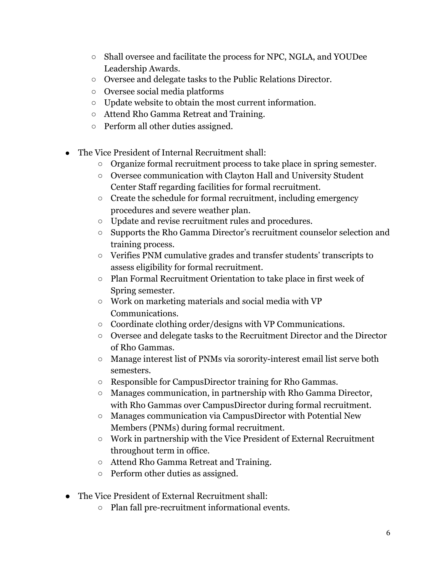- Shall oversee and facilitate the process for NPC, NGLA, and YOUDee Leadership Awards.
- Oversee and delegate tasks to the Public Relations Director.
- Oversee social media platforms
- Update website to obtain the most current information.
- Attend Rho Gamma Retreat and Training.
- Perform all other duties assigned.
- The Vice President of Internal Recruitment shall:
	- Organize formal recruitment process to take place in spring semester.
	- Oversee communication with Clayton Hall and University Student Center Staff regarding facilities for formal recruitment.
	- Create the schedule for formal recruitment, including emergency procedures and severe weather plan.
	- Update and revise recruitment rules and procedures.
	- Supports the Rho Gamma Director's recruitment counselor selection and training process.
	- Verifies PNM cumulative grades and transfer students' transcripts to assess eligibility for formal recruitment.
	- Plan Formal Recruitment Orientation to take place in first week of Spring semester.
	- Work on marketing materials and social media with VP Communications.
	- Coordinate clothing order/designs with VP Communications.
	- Oversee and delegate tasks to the Recruitment Director and the Director of Rho Gammas.
	- Manage interest list of PNMs via sorority-interest email list serve both semesters.
	- Responsible for CampusDirector training for Rho Gammas.
	- Manages communication, in partnership with Rho Gamma Director, with Rho Gammas over CampusDirector during formal recruitment.
	- Manages communication via CampusDirector with Potential New Members (PNMs) during formal recruitment.
	- Work in partnership with the Vice President of External Recruitment throughout term in office.
	- Attend Rho Gamma Retreat and Training.
	- Perform other duties as assigned.
- The Vice President of External Recruitment shall:
	- Plan fall pre-recruitment informational events.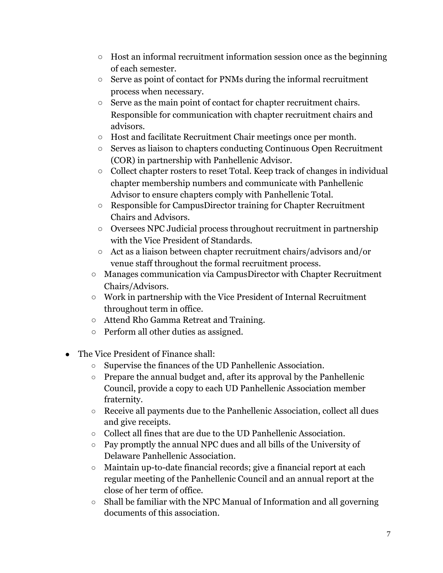- Host an informal recruitment information session once as the beginning of each semester.
- Serve as point of contact for PNMs during the informal recruitment process when necessary.
- Serve as the main point of contact for chapter recruitment chairs. Responsible for communication with chapter recruitment chairs and advisors.
- Host and facilitate Recruitment Chair meetings once per month.
- Serves as liaison to chapters conducting Continuous Open Recruitment (COR) in partnership with Panhellenic Advisor.
- Collect chapter rosters to reset Total. Keep track of changes in individual chapter membership numbers and communicate with Panhellenic Advisor to ensure chapters comply with Panhellenic Total.
- Responsible for CampusDirector training for Chapter Recruitment Chairs and Advisors.
- Oversees NPC Judicial process throughout recruitment in partnership with the Vice President of Standards.
- Act as a liaison between chapter recruitment chairs/advisors and/or venue staff throughout the formal recruitment process.
- Manages communication via CampusDirector with Chapter Recruitment Chairs/Advisors.
- Work in partnership with the Vice President of Internal Recruitment throughout term in office.
- Attend Rho Gamma Retreat and Training.
- Perform all other duties as assigned.
- The Vice President of Finance shall:
	- Supervise the finances of the UD Panhellenic Association.
	- Prepare the annual budget and, after its approval by the Panhellenic Council, provide a copy to each UD Panhellenic Association member fraternity.
	- Receive all payments due to the Panhellenic Association, collect all dues and give receipts.
	- Collect all fines that are due to the UD Panhellenic Association.
	- Pay promptly the annual NPC dues and all bills of the University of Delaware Panhellenic Association.
	- Maintain up-to-date financial records; give a financial report at each regular meeting of the Panhellenic Council and an annual report at the close of her term of office.
	- Shall be familiar with the NPC Manual of Information and all governing documents of this association.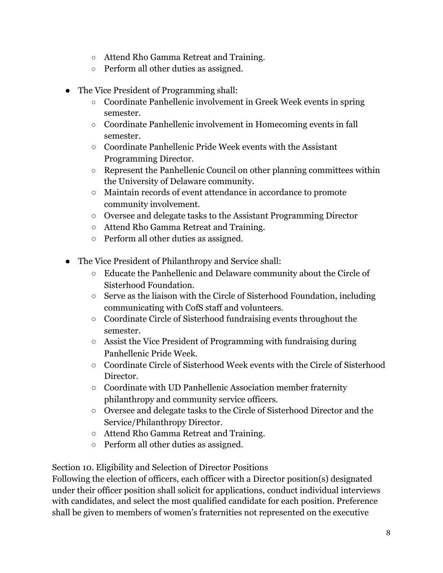- Attend Rho Gamma Retreat and Training.
- Perform all other duties as assigned.
- The Vice President of Programming shall:
	- Coordinate Panhellenic involvement in Greek Week events in spring semester.
	- Coordinate Panhellenic involvement in Homecoming events in fall semester.
	- Coordinate Panhellenic Pride Week events with the Assistant Programming Director.
	- Represent the Panhellenic Council on other planning committees within the University of Delaware community.
	- Maintain records of event attendance in accordance to promote community involvement.
	- Oversee and delegate tasks to the Assistant Programming Director
	- Attend Rho Gamma Retreat and Training.
	- Perform all other duties as assigned.
- The Vice President of Philanthropy and Service shall:
	- Educate the Panhellenic and Delaware community about the Circle of Sisterhood Foundation.
	- Serve as the liaison with the Circle of Sisterhood Foundation, including communicating with CofS staff and volunteers.
	- Coordinate Circle of Sisterhood fundraising events throughout the semester.
	- Assist the Vice President of Programming with fundraising during Panhellenic Pride Week.
	- Coordinate Circle of Sisterhood Week events with the Circle of Sisterhood Director.
	- Coordinate with UD Panhellenic Association member fraternity philanthropy and community service officers.
	- Oversee and delegate tasks to the Circle of Sisterhood Director and the Service/Philanthropy Director.
	- Attend Rho Gamma Retreat and Training.
	- Perform all other duties as assigned.

Section 10. Eligibility and Selection of Director Positions

Following the election of officers, each officer with a Director position(s) designated under their officer position shall solicit for applications, conduct individual interviews with candidates, and select the most qualified candidate for each position. Preference shall be given to members of women's fraternities not represented on the executive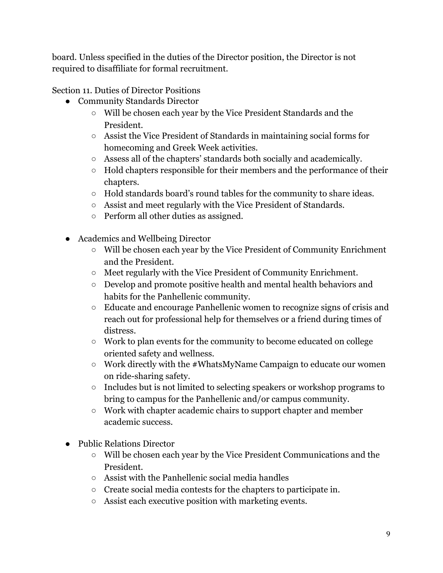board. Unless specified in the duties of the Director position, the Director is not required to disaffiliate for formal recruitment.

Section 11. Duties of Director Positions

- Community Standards Director
	- Will be chosen each year by the Vice President Standards and the President.
	- Assist the Vice President of Standards in maintaining social forms for homecoming and Greek Week activities.
	- Assess all of the chapters' standards both socially and academically.
	- Hold chapters responsible for their members and the performance of their chapters.
	- Hold standards board's round tables for the community to share ideas.
	- Assist and meet regularly with the Vice President of Standards.
	- Perform all other duties as assigned.
- Academics and Wellbeing Director
	- Will be chosen each year by the Vice President of Community Enrichment and the President.
	- Meet regularly with the Vice President of Community Enrichment.
	- Develop and promote positive health and mental health behaviors and habits for the Panhellenic community.
	- Educate and encourage Panhellenic women to recognize signs of crisis and reach out for professional help for themselves or a friend during times of distress.
	- Work to plan events for the community to become educated on college oriented safety and wellness.
	- Work directly with the #WhatsMyName Campaign to educate our women on ride-sharing safety.
	- Includes but is not limited to selecting speakers or workshop programs to bring to campus for the Panhellenic and/or campus community.
	- Work with chapter academic chairs to support chapter and member academic success.
- Public Relations Director
	- Will be chosen each year by the Vice President Communications and the President.
	- Assist with the Panhellenic social media handles
	- Create social media contests for the chapters to participate in.
	- Assist each executive position with marketing events.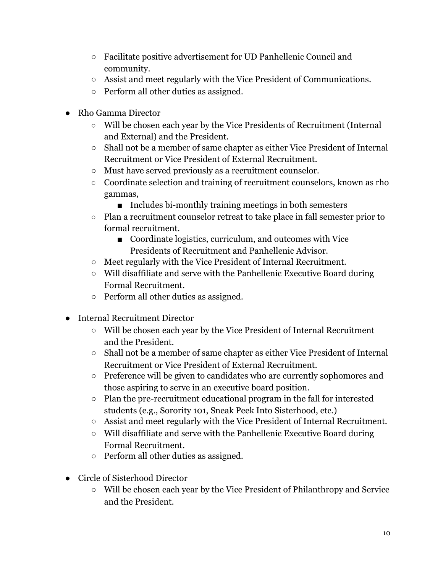- Facilitate positive advertisement for UD Panhellenic Council and community.
- Assist and meet regularly with the Vice President of Communications.
- Perform all other duties as assigned.
- Rho Gamma Director
	- Will be chosen each year by the Vice Presidents of Recruitment (Internal and External) and the President.
	- Shall not be a member of same chapter as either Vice President of Internal Recruitment or Vice President of External Recruitment.
	- Must have served previously as a recruitment counselor.
	- Coordinate selection and training of recruitment counselors, known as rho gammas,
		- Includes bi-monthly training meetings in both semesters
	- Plan a recruitment counselor retreat to take place in fall semester prior to formal recruitment.
		- Coordinate logistics, curriculum, and outcomes with Vice Presidents of Recruitment and Panhellenic Advisor.
	- Meet regularly with the Vice President of Internal Recruitment.
	- Will disaffiliate and serve with the Panhellenic Executive Board during Formal Recruitment.
	- Perform all other duties as assigned.
- Internal Recruitment Director
	- Will be chosen each year by the Vice President of Internal Recruitment and the President.
	- Shall not be a member of same chapter as either Vice President of Internal Recruitment or Vice President of External Recruitment.
	- Preference will be given to candidates who are currently sophomores and those aspiring to serve in an executive board position.
	- Plan the pre-recruitment educational program in the fall for interested students (e.g., Sorority 101, Sneak Peek Into Sisterhood, etc.)
	- Assist and meet regularly with the Vice President of Internal Recruitment.
	- Will disaffiliate and serve with the Panhellenic Executive Board during Formal Recruitment.
	- Perform all other duties as assigned.
- Circle of Sisterhood Director
	- Will be chosen each year by the Vice President of Philanthropy and Service and the President.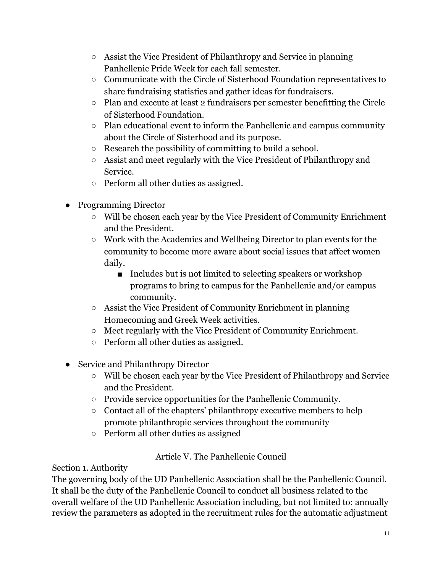- Assist the Vice President of Philanthropy and Service in planning Panhellenic Pride Week for each fall semester.
- Communicate with the Circle of Sisterhood Foundation representatives to share fundraising statistics and gather ideas for fundraisers.
- Plan and execute at least 2 fundraisers per semester benefitting the Circle of Sisterhood Foundation.
- Plan educational event to inform the Panhellenic and campus community about the Circle of Sisterhood and its purpose.
- Research the possibility of committing to build a school.
- Assist and meet regularly with the Vice President of Philanthropy and Service.
- Perform all other duties as assigned.
- Programming Director
	- Will be chosen each year by the Vice President of Community Enrichment and the President.
	- Work with the Academics and Wellbeing Director to plan events for the community to become more aware about social issues that affect women daily.
		- Includes but is not limited to selecting speakers or workshop programs to bring to campus for the Panhellenic and/or campus community.
	- Assist the Vice President of Community Enrichment in planning Homecoming and Greek Week activities.
	- Meet regularly with the Vice President of Community Enrichment.
	- Perform all other duties as assigned.
- Service and Philanthropy Director
	- Will be chosen each year by the Vice President of Philanthropy and Service and the President.
	- Provide service opportunities for the Panhellenic Community.
	- $\circ$  Contact all of the chapters' philanthropy executive members to help promote philanthropic services throughout the community
	- Perform all other duties as assigned

Article V. The Panhellenic Council

Section 1. Authority

The governing body of the UD Panhellenic Association shall be the Panhellenic Council. It shall be the duty of the Panhellenic Council to conduct all business related to the overall welfare of the UD Panhellenic Association including, but not limited to: annually review the parameters as adopted in the recruitment rules for the automatic adjustment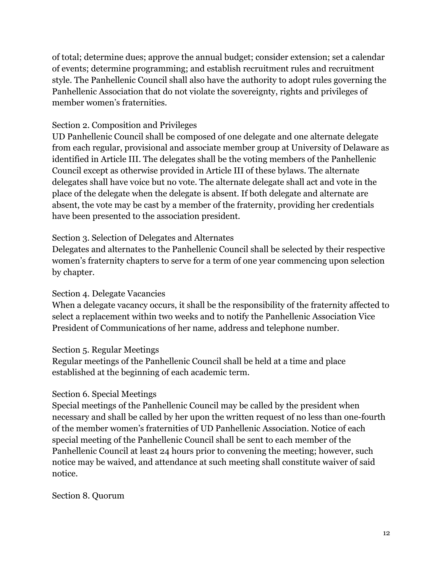of total; determine dues; approve the annual budget; consider extension; set a calendar of events; determine programming; and establish recruitment rules and recruitment style. The Panhellenic Council shall also have the authority to adopt rules governing the Panhellenic Association that do not violate the sovereignty, rights and privileges of member women's fraternities.

### Section 2. Composition and Privileges

UD Panhellenic Council shall be composed of one delegate and one alternate delegate from each regular, provisional and associate member group at University of Delaware as identified in Article III. The delegates shall be the voting members of the Panhellenic Council except as otherwise provided in Article III of these bylaws. The alternate delegates shall have voice but no vote. The alternate delegate shall act and vote in the place of the delegate when the delegate is absent. If both delegate and alternate are absent, the vote may be cast by a member of the fraternity, providing her credentials have been presented to the association president.

### Section 3. Selection of Delegates and Alternates

Delegates and alternates to the Panhellenic Council shall be selected by their respective women's fraternity chapters to serve for a term of one year commencing upon selection by chapter.

### Section 4. Delegate Vacancies

When a delegate vacancy occurs, it shall be the responsibility of the fraternity affected to select a replacement within two weeks and to notify the Panhellenic Association Vice President of Communications of her name, address and telephone number.

### Section 5. Regular Meetings

Regular meetings of the Panhellenic Council shall be held at a time and place established at the beginning of each academic term.

### Section 6. Special Meetings

Special meetings of the Panhellenic Council may be called by the president when necessary and shall be called by her upon the written request of no less than one-fourth of the member women's fraternities of UD Panhellenic Association. Notice of each special meeting of the Panhellenic Council shall be sent to each member of the Panhellenic Council at least 24 hours prior to convening the meeting; however, such notice may be waived, and attendance at such meeting shall constitute waiver of said notice.

### Section 8. Quorum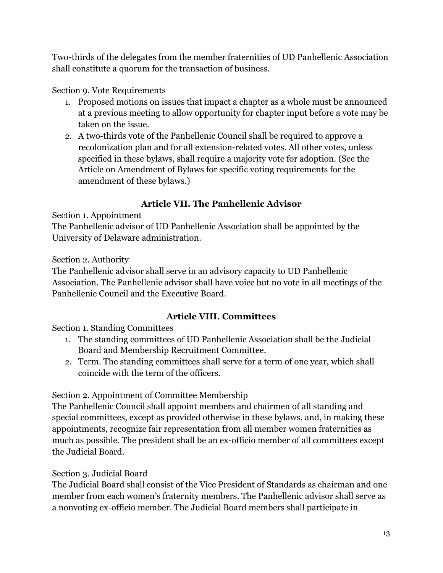Two-thirds of the delegates from the member fraternities of UD Panhellenic Association shall constitute a quorum for the transaction of business.

Section 9. Vote Requirements

- 1. Proposed motions on issues that impact a chapter as a whole must be announced at a previous meeting to allow opportunity for chapter input before a vote may be taken on the issue.
- 2. A two-thirds vote of the Panhellenic Council shall be required to approve a recolonization plan and for all extension-related votes. All other votes, unless specified in these bylaws, shall require a majority vote for adoption. (See the Article on Amendment of Bylaws for specific voting requirements for the amendment of these bylaws.)

# **Article VII. The Panhellenic Advisor**

Section 1. Appointment

The Panhellenic advisor of UD Panhellenic Association shall be appointed by the University of Delaware administration.

Section 2. Authority

The Panhellenic advisor shall serve in an advisory capacity to UD Panhellenic Association. The Panhellenic advisor shall have voice but no vote in all meetings of the Panhellenic Council and the Executive Board.

# **Article VIII. Committees**

Section 1. Standing Committees

- 1. The standing committees of UD Panhellenic Association shall be the Judicial Board and Membership Recruitment Committee.
- 2. Term. The standing committees shall serve for a term of one year, which shall coincide with the term of the officers.

# Section 2. Appointment of Committee Membership

The Panhellenic Council shall appoint members and chairmen of all standing and special committees, except as provided otherwise in these bylaws, and, in making these appointments, recognize fair representation from all member women fraternities as much as possible. The president shall be an ex-officio member of all committees except the Judicial Board.

# Section 3. Judicial Board

The Judicial Board shall consist of the Vice President of Standards as chairman and one member from each women's fraternity members. The Panhellenic advisor shall serve as a nonvoting ex-officio member. The Judicial Board members shall participate in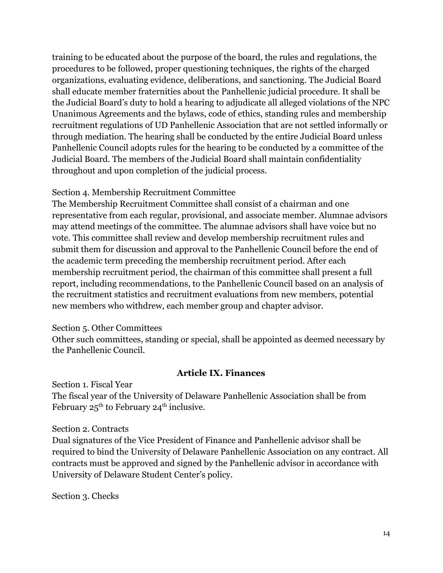training to be educated about the purpose of the board, the rules and regulations, the procedures to be followed, proper questioning techniques, the rights of the charged organizations, evaluating evidence, deliberations, and sanctioning. The Judicial Board shall educate member fraternities about the Panhellenic judicial procedure. It shall be the Judicial Board's duty to hold a hearing to adjudicate all alleged violations of the NPC Unanimous Agreements and the bylaws, code of ethics, standing rules and membership recruitment regulations of UD Panhellenic Association that are not settled informally or through mediation. The hearing shall be conducted by the entire Judicial Board unless Panhellenic Council adopts rules for the hearing to be conducted by a committee of the Judicial Board. The members of the Judicial Board shall maintain confidentiality throughout and upon completion of the judicial process.

### Section 4. Membership Recruitment Committee

The Membership Recruitment Committee shall consist of a chairman and one representative from each regular, provisional, and associate member. Alumnae advisors may attend meetings of the committee. The alumnae advisors shall have voice but no vote. This committee shall review and develop membership recruitment rules and submit them for discussion and approval to the Panhellenic Council before the end of the academic term preceding the membership recruitment period. After each membership recruitment period, the chairman of this committee shall present a full report, including recommendations, to the Panhellenic Council based on an analysis of the recruitment statistics and recruitment evaluations from new members, potential new members who withdrew, each member group and chapter advisor.

### Section 5. Other Committees

Other such committees, standing or special, shall be appointed as deemed necessary by the Panhellenic Council.

### **Article IX. Finances**

Section 1. Fiscal Year The fiscal year of the University of Delaware Panhellenic Association shall be from February  $25<sup>th</sup>$  to February  $24<sup>th</sup>$  inclusive.

#### Section 2. Contracts

Dual signatures of the Vice President of Finance and Panhellenic advisor shall be required to bind the University of Delaware Panhellenic Association on any contract. All contracts must be approved and signed by the Panhellenic advisor in accordance with University of Delaware Student Center's policy.

Section 3. Checks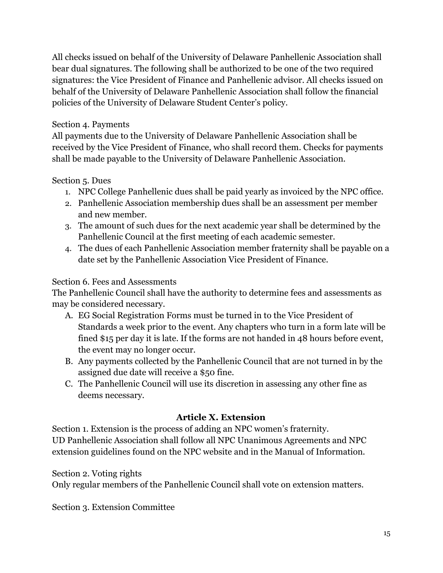All checks issued on behalf of the University of Delaware Panhellenic Association shall bear dual signatures. The following shall be authorized to be one of the two required signatures: the Vice President of Finance and Panhellenic advisor. All checks issued on behalf of the University of Delaware Panhellenic Association shall follow the financial policies of the University of Delaware Student Center's policy.

### Section 4. Payments

All payments due to the University of Delaware Panhellenic Association shall be received by the Vice President of Finance, who shall record them. Checks for payments shall be made payable to the University of Delaware Panhellenic Association.

### Section 5. Dues

- 1. NPC College Panhellenic dues shall be paid yearly as invoiced by the NPC office.
- 2. Panhellenic Association membership dues shall be an assessment per member and new member.
- 3. The amount of such dues for the next academic year shall be determined by the Panhellenic Council at the first meeting of each academic semester.
- 4. The dues of each Panhellenic Association member fraternity shall be payable on a date set by the Panhellenic Association Vice President of Finance.

### Section 6. Fees and Assessments

The Panhellenic Council shall have the authority to determine fees and assessments as may be considered necessary.

- A. EG Social Registration Forms must be turned in to the Vice President of Standards a week prior to the event. Any chapters who turn in a form late will be fined \$15 per day it is late. If the forms are not handed in 48 hours before event, the event may no longer occur.
- B. Any payments collected by the Panhellenic Council that are not turned in by the assigned due date will receive a \$50 fine.
- C. The Panhellenic Council will use its discretion in assessing any other fine as deems necessary.

## **Article X. Extension**

Section 1. Extension is the process of adding an NPC women's fraternity. UD Panhellenic Association shall follow all NPC Unanimous Agreements and NPC extension guidelines found on the NPC website and in the Manual of Information.

Section 2. Voting rights

Only regular members of the Panhellenic Council shall vote on extension matters.

Section 3. Extension Committee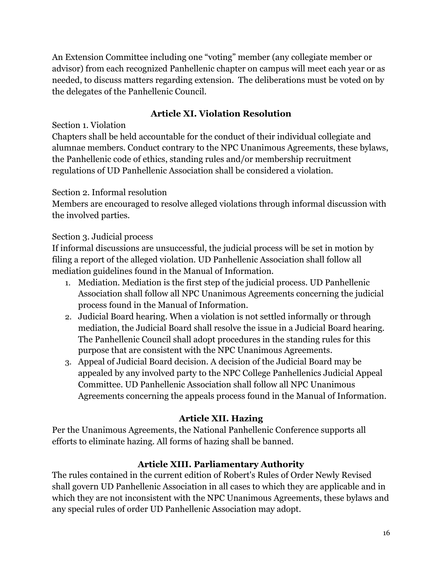An Extension Committee including one "voting" member (any collegiate member or advisor) from each recognized Panhellenic chapter on campus will meet each year or as needed, to discuss matters regarding extension. The deliberations must be voted on by the delegates of the Panhellenic Council.

# **Article XI. Violation Resolution**

### Section 1. Violation

Chapters shall be held accountable for the conduct of their individual collegiate and alumnae members. Conduct contrary to the NPC Unanimous Agreements, these bylaws, the Panhellenic code of ethics, standing rules and/or membership recruitment regulations of UD Panhellenic Association shall be considered a violation.

### Section 2. Informal resolution

Members are encouraged to resolve alleged violations through informal discussion with the involved parties.

### Section 3. Judicial process

If informal discussions are unsuccessful, the judicial process will be set in motion by filing a report of the alleged violation. UD Panhellenic Association shall follow all mediation guidelines found in the Manual of Information.

- 1. Mediation. Mediation is the first step of the judicial process. UD Panhellenic Association shall follow all NPC Unanimous Agreements concerning the judicial process found in the Manual of Information.
- 2. Judicial Board hearing. When a violation is not settled informally or through mediation, the Judicial Board shall resolve the issue in a Judicial Board hearing. The Panhellenic Council shall adopt procedures in the standing rules for this purpose that are consistent with the NPC Unanimous Agreements.
- 3. Appeal of Judicial Board decision. A decision of the Judicial Board may be appealed by any involved party to the NPC College Panhellenics Judicial Appeal Committee. UD Panhellenic Association shall follow all NPC Unanimous Agreements concerning the appeals process found in the Manual of Information.

# **Article XII. Hazing**

Per the Unanimous Agreements, the National Panhellenic Conference supports all efforts to eliminate hazing. All forms of hazing shall be banned.

## **Article XIII. Parliamentary Authority**

The rules contained in the current edition of Robert's Rules of Order Newly Revised shall govern UD Panhellenic Association in all cases to which they are applicable and in which they are not inconsistent with the NPC Unanimous Agreements, these bylaws and any special rules of order UD Panhellenic Association may adopt.